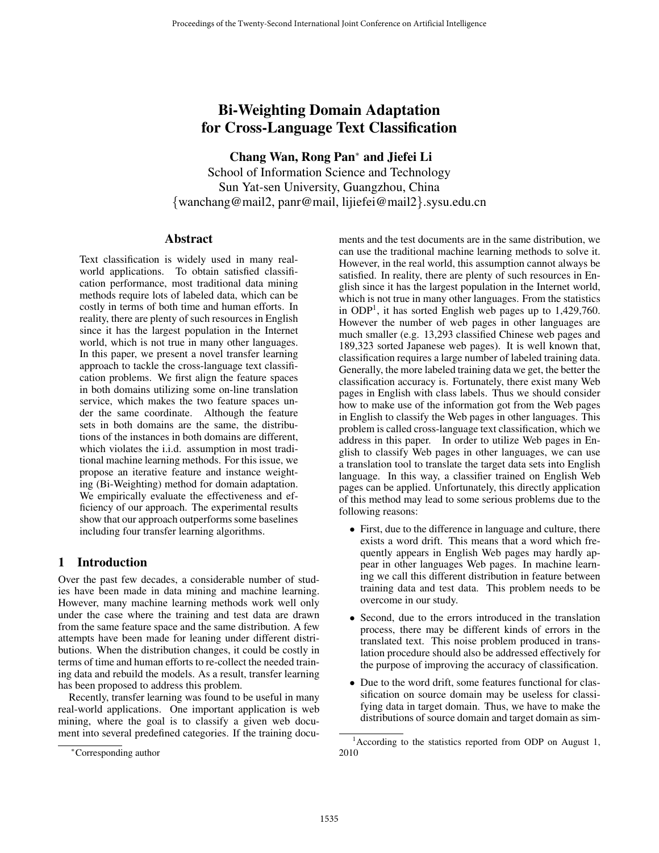# Bi-Weighting Domain Adaptation for Cross-Language Text Classification

Chang Wan, Rong Pan<sup>∗</sup> and Jiefei Li School of Information Science and Technology

Sun Yat-sen University, Guangzhou, China {wanchang@mail2, panr@mail, lijiefei@mail2}.sysu.edu.cn

## **Abstract**

Text classification is widely used in many realworld applications. To obtain satisfied classification performance, most traditional data mining methods require lots of labeled data, which can be costly in terms of both time and human efforts. In reality, there are plenty of such resources in English since it has the largest population in the Internet world, which is not true in many other languages. In this paper, we present a novel transfer learning approach to tackle the cross-language text classification problems. We first align the feature spaces in both domains utilizing some on-line translation service, which makes the two feature spaces under the same coordinate. Although the feature sets in both domains are the same, the distributions of the instances in both domains are different, which violates the i.i.d. assumption in most traditional machine learning methods. For this issue, we propose an iterative feature and instance weighting (Bi-Weighting) method for domain adaptation. We empirically evaluate the effectiveness and efficiency of our approach. The experimental results show that our approach outperforms some baselines including four transfer learning algorithms.

## 1 Introduction

Over the past few decades, a considerable number of studies have been made in data mining and machine learning. However, many machine learning methods work well only under the case where the training and test data are drawn from the same feature space and the same distribution. A few attempts have been made for leaning under different distributions. When the distribution changes, it could be costly in terms of time and human efforts to re-collect the needed training data and rebuild the models. As a result, transfer learning has been proposed to address this problem.

Recently, transfer learning was found to be useful in many real-world applications. One important application is web mining, where the goal is to classify a given web document into several predefined categories. If the training documents and the test documents are in the same distribution, we can use the traditional machine learning methods to solve it. However, in the real world, this assumption cannot always be satisfied. In reality, there are plenty of such resources in English since it has the largest population in the Internet world, which is not true in many other languages. From the statistics in ODP<sup>1</sup>, it has sorted English web pages up to  $1,429,760$ . However the number of web pages in other languages are much smaller (e.g. 13,293 classified Chinese web pages and 189,323 sorted Japanese web pages). It is well known that, classification requires a large number of labeled training data. Generally, the more labeled training data we get, the better the classification accuracy is. Fortunately, there exist many Web pages in English with class labels. Thus we should consider how to make use of the information got from the Web pages in English to classify the Web pages in other languages. This problem is called cross-language text classification, which we address in this paper. In order to utilize Web pages in English to classify Web pages in other languages, we can use a translation tool to translate the target data sets into English language. In this way, a classifier trained on English Web pages can be applied. Unfortunately, this directly application of this method may lead to some serious problems due to the following reasons:

- First, due to the difference in language and culture, there exists a word drift. This means that a word which frequently appears in English Web pages may hardly appear in other languages Web pages. In machine learning we call this different distribution in feature between training data and test data. This problem needs to be overcome in our study.
- Second, due to the errors introduced in the translation process, there may be different kinds of errors in the translated text. This noise problem produced in translation procedure should also be addressed effectively for the purpose of improving the accuracy of classification.
- Due to the word drift, some features functional for classification on source domain may be useless for classifying data in target domain. Thus, we have to make the distributions of source domain and target domain as sim-

<sup>∗</sup>Corresponding author

<sup>&</sup>lt;sup>1</sup> According to the statistics reported from ODP on August 1, 2010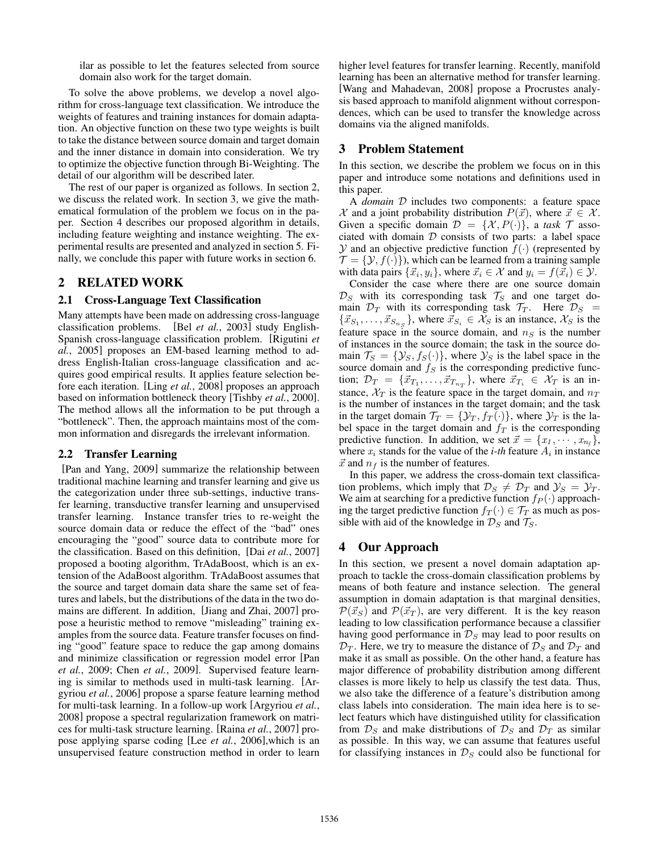ilar as possible to let the features selected from source domain also work for the target domain.

To solve the above problems, we develop a novel algorithm for cross-language text classification. We introduce the weights of features and training instances for domain adaptation. An objective function on these two type weights is built to take the distance between source domain and target domain and the inner distance in domain into consideration. We try to optimize the objective function through Bi-Weighting. The detail of our algorithm will be described later.

The rest of our paper is organized as follows. In section 2, we discuss the related work. In section 3, we give the mathematical formulation of the problem we focus on in the paper. Section 4 describes our proposed algorithm in details, including feature weighting and instance weighting. The experimental results are presented and analyzed in section 5. Finally, we conclude this paper with future works in section 6.

#### 2 RELATED WORK

#### 2.1 Cross-Language Text Classification

Many attempts have been made on addressing cross-language classification problems. [Bel *et al.*, 2003] study English-Spanish cross-language classification problem. [Rigutini *et al.*, 2005] proposes an EM-based learning method to address English-Italian cross-language classification and acquires good empirical results. It applies feature selection before each iteration. [Ling *et al.*, 2008] proposes an approach based on information bottleneck theory [Tishby *et al.*, 2000]. The method allows all the information to be put through a "bottleneck". Then, the approach maintains most of the common information and disregards the irrelevant information.

#### 2.2 Transfer Learning

[Pan and Yang, 2009] summarize the relationship between traditional machine learning and transfer learning and give us the categorization under three sub-settings, inductive transfer learning, transductive transfer learning and unsupervised transfer learning. Instance transfer tries to re-weight the source domain data or reduce the effect of the "bad" ones encouraging the "good" source data to contribute more for the classification. Based on this definition, [Dai *et al.*, 2007] proposed a booting algorithm, TrAdaBoost, which is an extension of the AdaBoost algorithm. TrAdaBoost assumes that the source and target domain data share the same set of features and labels, but the distributions of the data in the two domains are different. In addition, [Jiang and Zhai, 2007] propose a heuristic method to remove "misleading" training examples from the source data. Feature transfer focuses on finding "good" feature space to reduce the gap among domains and minimize classification or regression model error [Pan *et al.*, 2009; Chen *et al.*, 2009]. Supervised feature learning is similar to methods used in multi-task learning. [Argyriou *et al.*, 2006] propose a sparse feature learning method for multi-task learning. In a follow-up work [Argyriou *et al.*, 2008] propose a spectral regularization framework on matrices for multi-task structure learning. [Raina *et al.*, 2007] propose applying sparse coding [Lee *et al.*, 2006],which is an unsupervised feature construction method in order to learn higher level features for transfer learning. Recently, manifold learning has been an alternative method for transfer learning. [Wang and Mahadevan, 2008] propose a Procrustes analysis based approach to manifold alignment without correspondences, which can be used to transfer the knowledge across domains via the aligned manifolds.

## 3 Problem Statement

In this section, we describe the problem we focus on in this paper and introduce some notations and definitions used in this paper.

A *domain* D includes two components: a feature space X and a joint probability distribution  $P(\vec{x})$ , where  $\vec{x} \in \mathcal{X}$ .<br>Given a specific domain  $\mathcal{D} = \{X, P(\cdot)\}$  a task  $\mathcal{T}$  asso-Given a specific domain  $\mathcal{D} = \{X, P(\cdot)\}\$ , a task  $\mathcal T$  associated with domain  $D$  consists of two parts: a label space  $Y$  and an objective predictive function  $f(\cdot)$  (represented by  $\mathcal{T} = \{ \mathcal{Y}, f(\cdot) \}$ , which can be learned from a training sample with data pairs  $\{\vec{x}_i, y_i\}$ , where  $\vec{x}_i \in \mathcal{X}$  and  $y_i = f(\vec{x}_i) \in \mathcal{Y}$ .<br>Consider the case where there are one source domain

Consider the case where there are one source domain  $\mathcal{D}_S$  with its corresponding task  $\mathcal{T}_S$  and one target domain  $\mathcal{D}_T$  with its corresponding task  $\mathcal{T}_T$ . Here  $\mathcal{D}_S$  =  $\{\vec{x}_{S_1}, \ldots, \vec{x}_{S_{n_S}}\}$ , where  $\vec{x}_{S_i} \in \mathcal{X}_S$  is an instance,  $\mathcal{X}_S$  is the feature space in the source domain, and  $n<sub>S</sub>$  is the number of instances in the source domain; the task in the source domain  $\mathcal{T}_S = \{ \mathcal{Y}_S, f_S(\cdot) \}$ , where  $\mathcal{Y}_S$  is the label space in the source domain and  $f_S$  is the corresponding predictive function;  $\mathcal{D}_T = \{\vec{x}_{T_1}, \ldots, \vec{x}_{T_{n_T}}\}$ , where  $\vec{x}_{T_i} \in \mathcal{X}_T$  is an in-<br>stance.  $\mathcal{X}_T$  is the feature space in the target domain, and  $n_T$ stance,  $\mathcal{X}_T$  is the feature space in the target domain, and  $n_T$ is the number of instances in the target domain; and the task in the target domain  $\mathcal{T}_T = \{ \mathcal{Y}_T, f_T(\cdot) \}$ , where  $\mathcal{Y}_T$  is the label space in the target domain and  $f<sub>T</sub>$  is the corresponding predictive function. In addition, we set  $\vec{x} = \{x_1, \dots, x_{n_f}\}\,$ , where  $x_i$  stands for the value of the *i-th* feature  $A_i$  in instance where  $x_i$  stands for the value of the *i-th* feature  $A_i$  in instance  $\vec{x}$  and  $n_f$  is the number of features.

In this paper, we address the cross-domain text classification problems, which imply that  $\mathcal{D}_S \neq \mathcal{D}_T$  and  $\mathcal{Y}_S = \mathcal{Y}_T$ . We aim at searching for a predictive function  $f_P(\cdot)$  approaching the target predictive function  $f_T(\cdot) \in \mathcal{T}_T$  as much as possible with aid of the knowledge in  $\mathcal{D}_S$  and  $\mathcal{T}_S$ .

## 4 Our Approach

In this section, we present a novel domain adaptation approach to tackle the cross-domain classification problems by means of both feature and instance selection. The general assumption in domain adaptation is that marginal densities,  $\mathcal{P}(\vec{x}_S)$  and  $\mathcal{P}(\vec{x}_T)$ , are very different. It is the key reason leading to low classification performance because a classifier leading to low classification performance because a classifier having good performance in  $\mathcal{D}_S$  may lead to poor results on  $\mathcal{D}_T$ . Here, we try to measure the distance of  $\mathcal{D}_S$  and  $\mathcal{D}_T$  and make it as small as possible. On the other hand, a feature has major difference of probability distribution among different classes is more likely to help us classify the test data. Thus, we also take the difference of a feature's distribution among class labels into consideration. The main idea here is to select featurs which have distinguished utility for classification from  $\mathcal{D}_S$  and make distributions of  $\mathcal{D}_S$  and  $\mathcal{D}_T$  as similar as possible. In this way, we can assume that features useful for classifying instances in  $\mathcal{D}_S$  could also be functional for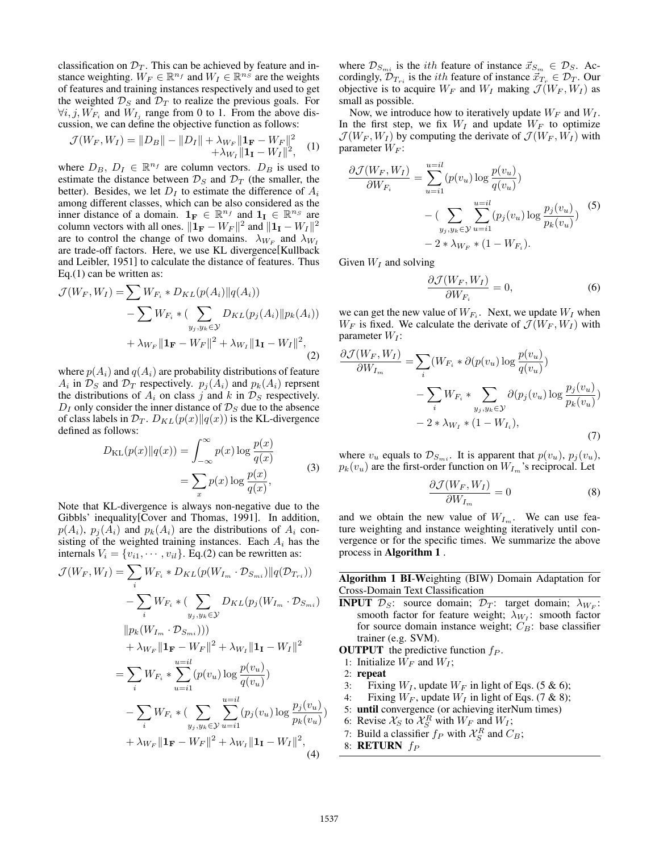classification on  $\mathcal{D}_T$ . This can be achieved by feature and instance weighting.  $W_F \in \mathbb{R}^{n_f}$  and  $W_I \in \mathbb{R}^{n_S}$  are the weights of features and training instances respectively and used to get the weighted  $\mathcal{D}_S$  and  $\mathcal{D}_T$  to realize the previous goals. For  $\forall i, j, W_{F_i}$  and  $W_{I_i}$  range from 0 to 1. From the above discussion, we can define the objective function as follows:

$$
\mathcal{J}(W_F, W_I) = ||D_B|| - ||D_I|| + \lambda_{W_F} ||\mathbf{1}_F - W_F||^2
$$
  
 
$$
+ \lambda_{W_I} ||\mathbf{1}_I - W_I||^2,
$$
  
where  $D_B$ ,  $D_I \in \mathbb{R}^{n_f}$  are column vectors.  $D_B$  is used to

estimate the distance between  $\mathcal{D}_S$  and  $\mathcal{D}_T$  (the smaller, the better). Besides, we let  $D<sub>I</sub>$  to estimate the difference of  $A<sub>i</sub>$ among different classes, which can be also considered as the inner distance of a domain.  $\mathbf{1}_F \in \mathbb{R}^{n_f}$  and  $\mathbf{1}_I \in \mathbb{R}^{n_S}$  are column vectors with all ones.  $||\mathbf{1_F} - W_F||^2$  and  $||\mathbf{1_I} - W_I||^2$ are to control the change of two domains.  $\lambda_{W_F}$  and  $\lambda_{W_I}$ are trade-off factors. Here, we use KL divergence[Kullback and Leibler, 1951] to calculate the distance of features. Thus Eq.(1) can be written as:

$$
\mathcal{J}(W_F, W_I) = \sum W_{F_i} * D_{KL}(p(A_i) || q(A_i))
$$
  
- 
$$
\sum W_{F_i} * (\sum_{y_j, y_k \in \mathcal{Y}} D_{KL}(p_j(A_i) || p_k(A_i))
$$
  
+ 
$$
\lambda_{W_F} || \mathbf{1}_F - W_F ||^2 + \lambda_{W_I} || \mathbf{1}_I - W_I ||^2,
$$
 (2)

where  $p(A_i)$  and  $q(A_i)$  are probability distributions of feature  $A_i$  in  $\mathcal{D}_S$  and  $\mathcal{D}_T$  respectively.  $p_j(A_i)$  and  $p_k(A_i)$  reprsent the distributions of  $A_i$  on class j and k in  $\mathcal{D}_S$  respectively.  $D_I$  only consider the inner distance of  $\mathcal{D}_S$  due to the absence of class labels in  $\mathcal{D}_T$ .  $D_{KL}(p(x)||q(x))$  is the KL-divergence defined as follows:

$$
D_{\text{KL}}(p(x)||q(x)) = \int_{-\infty}^{\infty} p(x) \log \frac{p(x)}{q(x)}
$$

$$
= \sum_{x} p(x) \log \frac{p(x)}{q(x)},
$$
(3)

Note that KL-divergence is always non-negative due to the Gibbls' inequality[Cover and Thomas, 1991]. In addition,  $p(A_i)$ ,  $p_j(A_i)$  and  $p_k(A_i)$  are the distributions of  $A_i$  consisting of the weighted training instances. Each  $A_i$  has the internals  $V_i = \{v_{i1}, \dots, v_{il}\}\$ . Eq.(2) can be rewritten as:

$$
\mathcal{J}(W_F, W_I) = \sum_{i} W_{F_i} * D_{KL}(p(W_{I_m} \cdot \mathcal{D}_{S_{mi}})||q(\mathcal{D}_{T_{ri}}))
$$
  
\n
$$
- \sum_{i} W_{F_i} * (\sum_{y_j, y_k \in \mathcal{Y}} D_{KL}(p_j(W_{I_m} \cdot \mathcal{D}_{S_{mi}}))
$$
  
\n
$$
||p_k(W_{I_m} \cdot \mathcal{D}_{S_{mi}})))
$$
  
\n
$$
+ \lambda_{W_F} ||\mathbf{1_F} - W_F||^2 + \lambda_{W_I} ||\mathbf{1_I} - W_I||^2
$$
  
\n
$$
= \sum_{i} W_{F_i} * \sum_{u=i1}^{u=il} (p(v_u) \log \frac{p(v_u)}{q(v_u)})
$$
  
\n
$$
- \sum_{i} W_{F_i} * (\sum_{y_j, y_k \in \mathcal{Y}} \sum_{u=i1}^{u=il} (p_j(v_u) \log \frac{p_j(v_u)}{p_k(v_u)})
$$
  
\n
$$
+ \lambda_{W_F} ||\mathbf{1_F} - W_F||^2 + \lambda_{W_I} ||\mathbf{1_I} - W_I||^2,
$$
  
\n(4)

where  $\mathcal{D}_{S_{mi}}$  is the *ith* feature of instance  $\vec{x}_{S_m} \in \mathcal{D}_S$ . Accordingly,  $\mathcal{D}_{T_{ri}}$  is the *ith* feature of instance  $\vec{x}_{T_r} \in \mathcal{D}_T$ . Our objective is to acquire  $W_F$  and  $W_I$  making  $\mathcal{J}(W_F, W_I)$  as small as possible.

Now, we introduce how to iteratively update  $W_F$  and  $W_I$ . In the first step, we fix  $W_I$  and update  $W_F$  to optimize  $\mathcal{J}(W_F, W_I)$  by computing the derivate of  $\mathcal{J}(W_F, W_I)$  with parameter  $W_F$ :

$$
\frac{\partial \mathcal{J}(W_F, W_I)}{\partial W_{F_i}} = \sum_{u=i1}^{u=il} (p(v_u) \log \frac{p(v_u)}{q(v_u)})
$$

$$
- \left( \sum_{y_j, y_k \in \mathcal{Y}} \sum_{u=i1}^{u=il} (p_j(v_u) \log \frac{p_j(v_u)}{p_k(v_u)}) \right)
$$

$$
- 2 * \lambda_{W_F} * (1 - W_{F_i}).
$$
(5)

Given  $W_I$  and solving

$$
\frac{\partial \mathcal{J}(W_F, W_I)}{\partial W_{F_i}} = 0,\tag{6}
$$

we can get the new value of  $W_{F_i}$ . Next, we update  $W_I$  when  $W_F$  is fixed. We calculate the derivate of  $\mathcal{J}(W_F, W_I)$  with parameter  $W_I$ :

$$
\frac{\partial \mathcal{J}(W_F, W_I)}{\partial W_{I_m}} = \sum_i (W_{F_i} * \partial (p(v_u) \log \frac{p(v_u)}{q(v_u)}) - \sum_i W_{F_i} * \sum_{y_j, y_k \in \mathcal{Y}} \partial (p_j(v_u) \log \frac{p_j(v_u)}{p_k(v_u)}) - 2 * \lambda_{W_I} * (1 - W_{I_i}),
$$
\n(7)

where  $v_u$  equals to  $\mathcal{D}_{S_{mi}}$ . It is apparent that  $p(v_u)$ ,  $p_j(v_u)$ ,  $p_k(v_u)$  are the first-order function on  $W_{I_m}$ 's reciprocal. Let

$$
\frac{\partial \mathcal{J}(W_F, W_I)}{\partial W_{I_m}} = 0 \tag{8}
$$

and we obtain the new value of  $W_{I_m}$ . We can use feature weighting and instance weighting iteratively until convergence or for the specific times. We summarize the above process in Algorithm 1 .

Algorithm 1 BI-Weighting (BIW) Domain Adaptation for Cross-Domain Text Classification

- **INPUT**  $\mathcal{D}_S$ : source domain;  $\mathcal{D}_T$ : target domain;  $\lambda_{W_F}$ : smooth factor for feature weight;  $\lambda_{W_I}$ : smooth factor for source domain instance weight;  $C_B$ : base classifier trainer (e.g. SVM).
- **OUTPUT** the predictive function  $f_P$ .
- 1: Initialize  $W_F$  and  $W_I$ ;
- 2: repeat
- 3: Fixing  $W_I$ , update  $W_F$  in light of Eqs. (5 & 6);
- 4: Fixing  $W_F$ , update  $W_I$  in light of Eqs. (7 & 8);
- 5: until convergence (or achieving iterNum times)
- 6: Revise  $\mathcal{X}_S$  to  $\mathcal{X}_S^R$  with  $W_F$  and  $W_I$ ;
- 7: Build a classifier  $f_P$  with  $\mathcal{X}_S^R$  and  $C_B$ ;
- 8: RETURN  $f_P$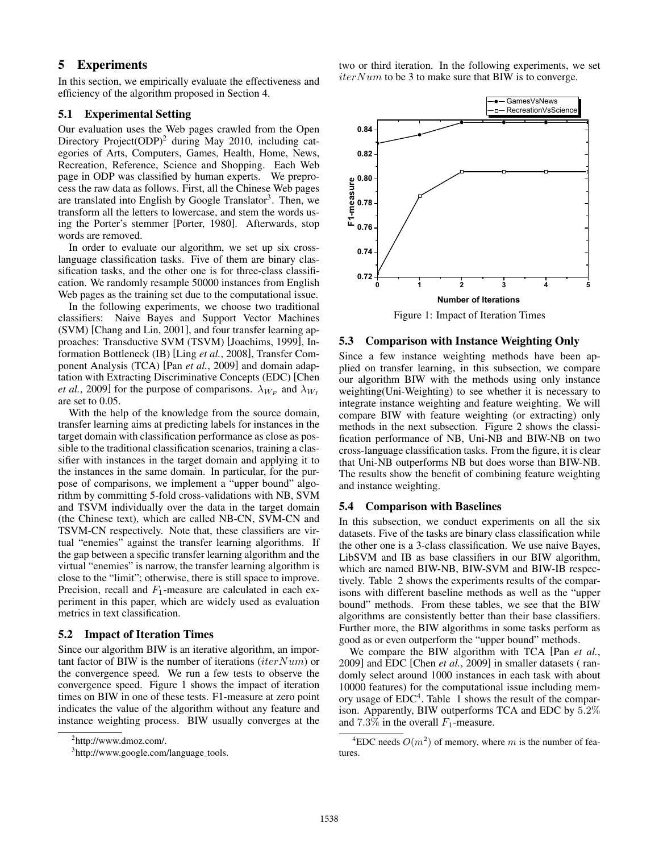## 5 Experiments

In this section, we empirically evaluate the effectiveness and efficiency of the algorithm proposed in Section 4.

#### 5.1 Experimental Setting

Our evaluation uses the Web pages crawled from the Open Directory Project(ODP)<sup>2</sup> during May 2010, including categories of Arts, Computers, Games, Health, Home, News, Recreation, Reference, Science and Shopping. Each Web page in ODP was classified by human experts. We preprocess the raw data as follows. First, all the Chinese Web pages are translated into English by Google Translator<sup>3</sup>. Then, we transform all the letters to lowercase, and stem the words using the Porter's stemmer [Porter, 1980]. Afterwards, stop words are removed.

In order to evaluate our algorithm, we set up six crosslanguage classification tasks. Five of them are binary classification tasks, and the other one is for three-class classification. We randomly resample 50000 instances from English Web pages as the training set due to the computational issue.

In the following experiments, we choose two traditional classifiers: Naive Bayes and Support Vector Machines (SVM) [Chang and Lin, 2001], and four transfer learning approaches: Transductive SVM (TSVM) [Joachims, 1999], Information Bottleneck (IB) [Ling *et al.*, 2008], Transfer Component Analysis (TCA) [Pan *et al.*, 2009] and domain adaptation with Extracting Discriminative Concepts (EDC) [Chen *et al.*, 2009] for the purpose of comparisons.  $\lambda_{W_F}$  and  $\lambda_{W_I}$ are set to 0.05.

With the help of the knowledge from the source domain, transfer learning aims at predicting labels for instances in the target domain with classification performance as close as possible to the traditional classification scenarios, training a classifier with instances in the target domain and applying it to the instances in the same domain. In particular, for the purpose of comparisons, we implement a "upper bound" algorithm by committing 5-fold cross-validations with NB, SVM and TSVM individually over the data in the target domain (the Chinese text), which are called NB-CN, SVM-CN and TSVM-CN respectively. Note that, these classifiers are virtual "enemies" against the transfer learning algorithms. If the gap between a specific transfer learning algorithm and the virtual "enemies" is narrow, the transfer learning algorithm is close to the "limit"; otherwise, there is still space to improve. Precision, recall and  $F_1$ -measure are calculated in each experiment in this paper, which are widely used as evaluation metrics in text classification.

#### 5.2 Impact of Iteration Times

Since our algorithm BIW is an iterative algorithm, an important factor of BIW is the number of iterations (*iterNum*) or the convergence speed. We run a few tests to observe the convergence speed. Figure 1 shows the impact of iteration times on BIW in one of these tests. F1-measure at zero point indicates the value of the algorithm without any feature and instance weighting process. BIW usually converges at the two or third iteration. In the following experiments, we set  $iterNum$  to be 3 to make sure that BIW is to converge.



5.3 Comparison with Instance Weighting Only

Since a few instance weighting methods have been applied on transfer learning, in this subsection, we compare our algorithm BIW with the methods using only instance weighting(Uni-Weighting) to see whether it is necessary to integrate instance weighting and feature weighting. We will compare BIW with feature weighting (or extracting) only methods in the next subsection. Figure 2 shows the classification performance of NB, Uni-NB and BIW-NB on two cross-language classification tasks. From the figure, it is clear that Uni-NB outperforms NB but does worse than BIW-NB. The results show the benefit of combining feature weighting and instance weighting.

#### 5.4 Comparison with Baselines

In this subsection, we conduct experiments on all the six datasets. Five of the tasks are binary class classification while the other one is a 3-class classification. We use naive Bayes, LibSVM and IB as base classifiers in our BIW algorithm, which are named BIW-NB, BIW-SVM and BIW-IB respectively. Table 2 shows the experiments results of the comparisons with different baseline methods as well as the "upper bound" methods. From these tables, we see that the BIW algorithms are consistently better than their base classifiers. Further more, the BIW algorithms in some tasks perform as good as or even outperform the "upper bound" methods.

We compare the BIW algorithm with TCA [Pan *et al.*, 2009] and EDC [Chen *et al.*, 2009] in smaller datasets ( randomly select around 1000 instances in each task with about 10000 features) for the computational issue including memory usage of  $EDC<sup>4</sup>$ . Table 1 shows the result of the comparison. Apparently, BIW outperforms TCA and EDC by 5.2% and 7.3% in the overall  $F_1$ -measure.

<sup>&</sup>lt;sup>2</sup>http://www.dmoz.com/.

<sup>&</sup>lt;sup>3</sup>http://www.google.com/language\_tools.

<sup>&</sup>lt;sup>4</sup>EDC needs  $O(m^2)$  of memory, where m is the number of features.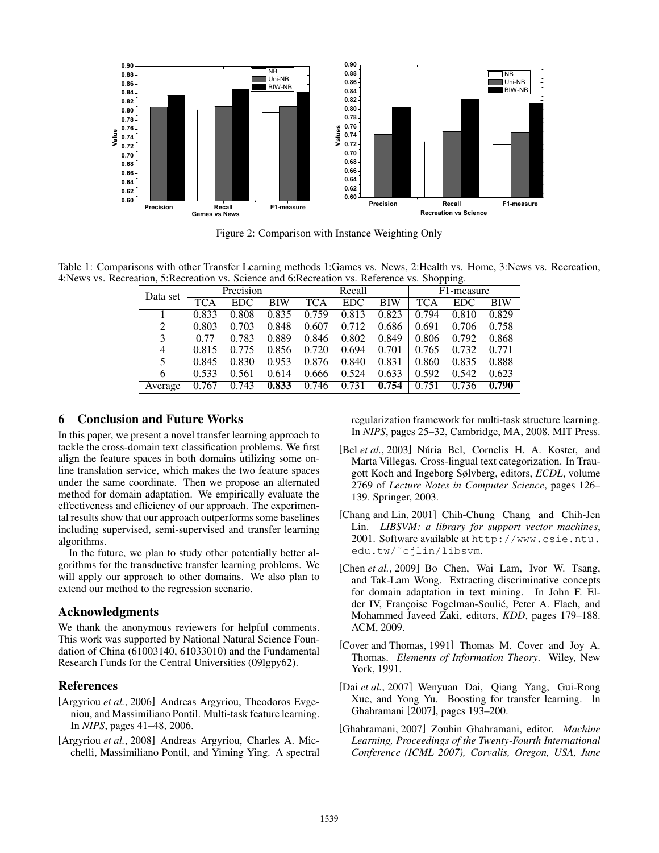

Figure 2: Comparison with Instance Weighting Only

Table 1: Comparisons with other Transfer Learning methods 1:Games vs. News, 2:Health vs. Home, 3:News vs. Recreation, 4:News vs. Recreation, 5:Recreation vs. Science and 6:Recreation vs. Reference vs. Shopping.

| Data set | Precision  |            |            | Recall |            |            | F1-measure |            |            |
|----------|------------|------------|------------|--------|------------|------------|------------|------------|------------|
|          | <b>TCA</b> | <b>EDC</b> | <b>BIW</b> | TCA    | <b>EDC</b> | <b>BIW</b> | TCA        | <b>EDC</b> | <b>BIW</b> |
|          | 0.833      | 0.808      | 0.835      | 0.759  | 0.813      | 0.823      | 0.794      | 0.810      | 0.829      |
| 2        | 0.803      | 0.703      | 0.848      | 0.607  | 0.712      | 0.686      | 0.691      | 0.706      | 0.758      |
| 3        | 0.77       | 0.783      | 0.889      | 0.846  | 0.802      | 0.849      | 0.806      | 0.792      | 0.868      |
| 4        | 0.815      | 0.775      | 0.856      | 0.720  | 0.694      | 0.701      | 0.765      | 0.732      | 0.771      |
| 5        | 0.845      | 0.830      | 0.953      | 0.876  | 0.840      | 0.831      | 0.860      | 0.835      | 0.888      |
| 6        | 0.533      | 0.561      | 0.614      | 0.666  | 0.524      | 0.633      | 0.592      | 0.542      | 0.623      |
| Average  | 0.767      | 0.743      | 0.833      | 0.746  | 0.731      | 0.754      | 0.751      | 0.736      | 0.790      |

## 6 Conclusion and Future Works

In this paper, we present a novel transfer learning approach to tackle the cross-domain text classification problems. We first align the feature spaces in both domains utilizing some online translation service, which makes the two feature spaces under the same coordinate. Then we propose an alternated method for domain adaptation. We empirically evaluate the effectiveness and efficiency of our approach. The experimental results show that our approach outperforms some baselines including supervised, semi-supervised and transfer learning algorithms.

In the future, we plan to study other potentially better algorithms for the transductive transfer learning problems. We will apply our approach to other domains. We also plan to extend our method to the regression scenario.

#### Acknowledgments

We thank the anonymous reviewers for helpful comments. This work was supported by National Natural Science Foundation of China (61003140, 61033010) and the Fundamental Research Funds for the Central Universities (09lgpy62).

## References

- [Argyriou *et al.*, 2006] Andreas Argyriou, Theodoros Evgeniou, and Massimiliano Pontil. Multi-task feature learning. In *NIPS*, pages 41–48, 2006.
- [Argyriou *et al.*, 2008] Andreas Argyriou, Charles A. Micchelli, Massimiliano Pontil, and Yiming Ying. A spectral

regularization framework for multi-task structure learning. In *NIPS*, pages 25–32, Cambridge, MA, 2008. MIT Press.

- [Bel et al., 2003] Núria Bel, Cornelis H. A. Koster, and Marta Villegas. Cross-lingual text categorization. In Traugott Koch and Ingeborg Sølvberg, editors, *ECDL*, volume 2769 of *Lecture Notes in Computer Science*, pages 126– 139. Springer, 2003.
- [Chang and Lin, 2001] Chih-Chung Chang and Chih-Jen Lin. *LIBSVM: a library for support vector machines*, 2001. Software available at http://www.csie.ntu. edu.tw/˜cjlin/libsvm.
- [Chen *et al.*, 2009] Bo Chen, Wai Lam, Ivor W. Tsang, and Tak-Lam Wong. Extracting discriminative concepts for domain adaptation in text mining. In John F. Elder IV, Françoise Fogelman-Soulié, Peter A. Flach, and Mohammed Javeed Zaki, editors, *KDD*, pages 179–188. ACM, 2009.
- [Cover and Thomas, 1991] Thomas M. Cover and Joy A. Thomas. *Elements of Information Theory*. Wiley, New York, 1991.
- [Dai *et al.*, 2007] Wenyuan Dai, Qiang Yang, Gui-Rong Xue, and Yong Yu. Boosting for transfer learning. In Ghahramani [2007], pages 193–200.
- [Ghahramani, 2007] Zoubin Ghahramani, editor. *Machine Learning, Proceedings of the Twenty-Fourth International Conference (ICML 2007), Corvalis, Oregon, USA, June*